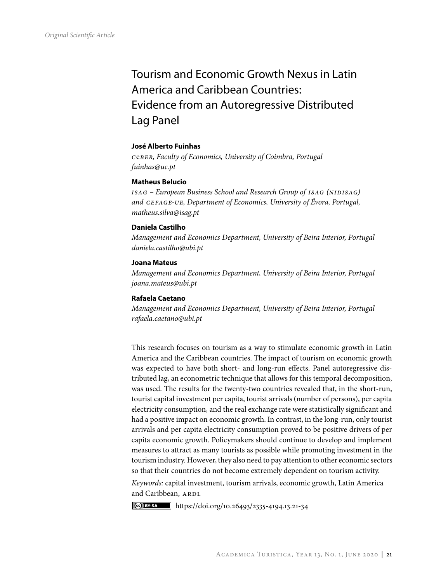# Tourism and Economic Growth Nexus in Latin America and Caribbean Countries: Evidence from an Autoregressive Distributed Lag Panel

# **José Alberto Fuinhas**

*c*e*ber, Faculty of Economics, University of Coimbra, Portugal fuinhas@uc.pt*

## **Matheus Belucio**

ISAG – European Business School and Research Group of *ISAG* (NIDISAG) *and cefage-ue, Department of Economics, University of Évora, Portugal, matheus.silva@isag.pt*

# **Daniela Castilho**

*Management and Economics Department, University of Beira Interior, Portugal daniela.castilho@ubi.pt*

## **Joana Mateus**

*Management and Economics Department, University of Beira Interior, Portugal joana.mateus@ubi.pt*

# **Rafaela Caetano**

*Management and Economics Department, University of Beira Interior, Portugal rafaela.caetano@ubi.pt*

This research focuses on tourism as a way to stimulate economic growth in Latin America and the Caribbean countries. The impact of tourism on economic growth was expected to have both short- and long-run effects. Panel autoregressive distributed lag, an econometric technique that allows for this temporal decomposition, was used. The results for the twenty-two countries revealed that, in the short-run, tourist capital investment per capita, tourist arrivals (number of persons), per capita electricity consumption, and the real exchange rate were statistically significant and had a positive impact on economic growth. In contrast, in the long-run, only tourist arrivals and per capita electricity consumption proved to be positive drivers of per capita economic growth. Policymakers should continue to develop and implement measures to attract as many tourists as possible while promoting investment in the tourism industry. However, they also need to pay attention to other economic sectors so that their countries do not become extremely dependent on tourism activity.

*Keywords:* capital investment, tourism arrivals, economic growth, Latin America and Caribbean, ARDL

https://doi.org/10.26493/2335-4194.13.21-34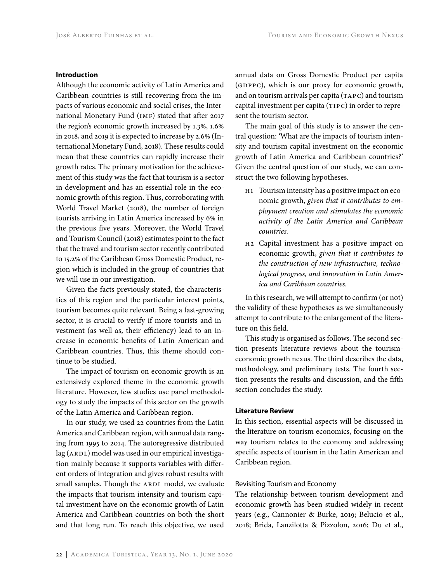## **Introduction**

Although the economic activity of Latin America and Caribbean countries is still recovering from the impacts of various economic and social crises, the International Monetary Fund (IMF) stated that after 2017 the region's economic growth increased by 1.3%, 1.6% in 2018, and 2019 it is expected to increase by 2.6% (International Monetary Fund, 2018). These results could mean that these countries can rapidly increase their growth rates. The primary motivation for the achievement of this study was the fact that tourism is a sector in development and has an essential role in the economic growth of this region. Thus, corroborating with World Travel Market (2018), the number of foreign tourists arriving in Latin America increased by 6% in the previous five years. Moreover, the World Travel and Tourism Council (2018) estimates point to the fact that the travel and tourism sector recently contributed to 15.2 of the Caribbean Gross Domestic Product, region which is included in the group of countries that we will use in our investigation.

Given the facts previously stated, the characteristics of this region and the particular interest points, tourism becomes quite relevant. Being a fast-growing sector, it is crucial to verify if more tourists and investment (as well as, their efficiency) lead to an increase in economic benefits of Latin American and Caribbean countries. Thus, this theme should continue to be studied.

The impact of tourism on economic growth is an extensively explored theme in the economic growth literature. However, few studies use panel methodology to study the impacts of this sector on the growth of the Latin America and Caribbean region.

In our study, we used 22 countries from the Latin America and Caribbean region, with annual data ranging from 1995 to 2014. The autoregressive distributed lag (ARDL) model was used in our empirical investigation mainly because it supports variables with different orders of integration and gives robust results with small samples. Though the ARDL model, we evaluate the impacts that tourism intensity and tourism capital investment have on the economic growth of Latin America and Caribbean countries on both the short and that long run. To reach this objective, we used

annual data on Gross Domestic Product per capita (GDPPC), which is our proxy for economic growth, and on tourism arrivals per capita (TAPC) and tourism capital investment per capita (TIPC) in order to represent the tourism sector.

The main goal of this study is to answer the central question: 'What are the impacts of tourism intensity and tourism capital investment on the economic growth of Latin America and Caribbean countries?' Given the central question of our study, we can construct the two following hypotheses.

- h1 Tourism intensity has a positive impact on economic growth, *given that it contributes to employment creation and stimulates the economic activity of the Latin America and Caribbean countries.*
- h2 Capital investment has a positive impact on economic growth, *given that it contributes to the construction of new infrastructure, technological progress, and innovation in Latin America and Caribbean countries.*

In this research, we will attempt to confirm (or not) the validity of these hypotheses as we simultaneously attempt to contribute to the enlargement of the literature on this field.

This study is organised as follows. The second section presents literature reviews about the tourismeconomic growth nexus. The third describes the data, methodology, and preliminary tests. The fourth section presents the results and discussion, and the fifth section concludes the study.

## **Literature Review**

In this section, essential aspects will be discussed in the literature on tourism economics, focusing on the way tourism relates to the economy and addressing specific aspects of tourism in the Latin American and Caribbean region.

# Revisiting Tourism and Economy

The relationship between tourism development and economic growth has been studied widely in recent years (e.g., Cannonier & Burke, 2019; Belucio et al., 2018; Brida, Lanzilotta & Pizzolon, 2016; Du et al.,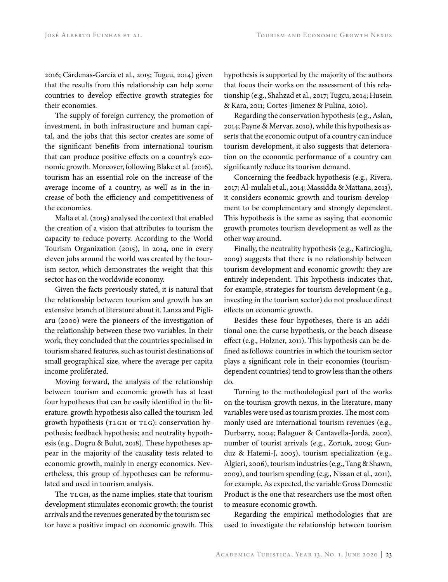2016; Cárdenas-García et al., 2015; Tugcu, 2014) given that the results from this relationship can help some countries to develop effective growth strategies for their economies.

The supply of foreign currency, the promotion of investment, in both infrastructure and human capital, and the jobs that this sector creates are some of the significant benefits from international tourism that can produce positive effects on a country's economic growth. Moreover, following Blake et al. (2016), tourism has an essential role on the increase of the average income of a country, as well as in the increase of both the efficiency and competitiveness of the economies.

Malta et al. (2019) analysed the context that enabled the creation of a vision that attributes to tourism the capacity to reduce poverty. According to the World Tourism Organization (2015), in 2014, one in every eleven jobs around the world was created by the tourism sector, which demonstrates the weight that this sector has on the worldwide economy.

Given the facts previously stated, it is natural that the relationship between tourism and growth has an extensive branch of literature about it. Lanza and Pigliaru (2000) were the pioneers of the investigation of the relationship between these two variables. In their work, they concluded that the countries specialised in tourism shared features, such as tourist destinations of small geographical size, where the average per capita income proliferated.

Moving forward, the analysis of the relationship between tourism and economic growth has at least four hypotheses that can be easily identified in the literature: growth hypothesis also called the tourism-led growth hypothesis (TLGH or TLG): conservation hypothesis; feedback hypothesis; and neutrality hypothesis (e.g., Dogru & Bulut, 2018). These hypotheses appear in the majority of the causality tests related to economic growth, mainly in energy economics. Nevertheless, this group of hypotheses can be reformulated and used in tourism analysis.

The TLGH, as the name implies, state that tourism development stimulates economic growth: the tourist arrivals and the revenues generated by the tourism sector have a positive impact on economic growth. This hypothesis is supported by the majority of the authors that focus their works on the assessment of this relationship (e.g., Shahzad et al., 2017; Tugcu, 2014; Husein & Kara, 2011; Cortes-Jimenez & Pulina, 2010).

Regarding the conservation hypothesis (e.g., Aslan, 2014; Payne & Mervar, 2010), while this hypothesis asserts that the economic output of a country can induce tourism development, it also suggests that deterioration on the economic performance of a country can significantly reduce its tourism demand.

Concerning the feedback hypothesis (e.g., Rivera, 2017; Al-mulali et al., 2014; Massidda & Mattana, 2013), it considers economic growth and tourism development to be complementary and strongly dependent. This hypothesis is the same as saying that economic growth promotes tourism development as well as the other way around.

Finally, the neutrality hypothesis (e.g., Katircioglu, 2009) suggests that there is no relationship between tourism development and economic growth: they are entirely independent. This hypothesis indicates that, for example, strategies for tourism development (e.g., investing in the tourism sector) do not produce direct effects on economic growth.

Besides these four hypotheses, there is an additional one: the curse hypothesis, or the beach disease effect (e.g., Holzner, 2011). This hypothesis can be defined as follows: countries in which the tourism sector plays a significant role in their economies (tourismdependent countries) tend to grow less than the others do.

Turning to the methodological part of the works on the tourism-growth nexus, in the literature, many variables were used as tourism proxies. The most commonly used are international tourism revenues (e.g., Durbarry, 2004; Balaguer & Cantavella-Jordà, 2002), number of tourist arrivals (e.g., Zortuk, 2009; Gunduz & Hatemi-J, 2005), tourism specialization (e.g., Algieri, 2006), tourism industries (e.g., Tang & Shawn, 2009), and tourism spending (e.g., Nissan et al., 2011), for example. As expected, the variable Gross Domestic Product is the one that researchers use the most often to measure economic growth.

Regarding the empirical methodologies that are used to investigate the relationship between tourism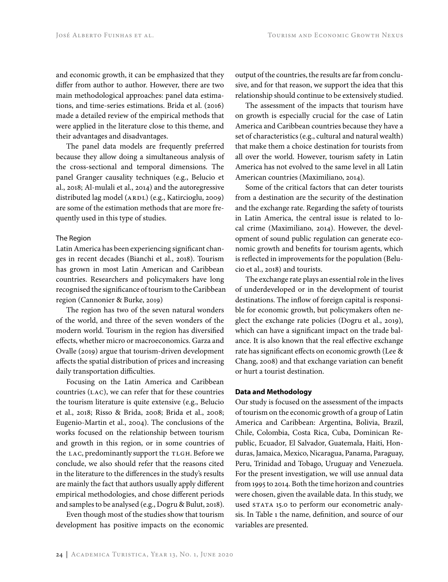and economic growth, it can be emphasized that they differ from author to author. However, there are two main methodological approaches: panel data estimations, and time-series estimations. Brida et al. (2016) made a detailed review of the empirical methods that were applied in the literature close to this theme, and their advantages and disadvantages.

The panel data models are frequently preferred because they allow doing a simultaneous analysis of the cross-sectional and temporal dimensions. The panel Granger causality techniques (e.g., Belucio et al., 2018; Al-mulali et al., 2014) and the autoregressive distributed lag model (ARDL) (e.g., Katircioglu, 2009) are some of the estimation methods that are more frequently used in this type of studies.

#### The Region

Latin America has been experiencing significant changes in recent decades (Bianchi et al., 2018). Tourism has grown in most Latin American and Caribbean countries. Researchers and policymakers have long recognised the significance of tourism to the Caribbean region (Cannonier & Burke, 2019)

The region has two of the seven natural wonders of the world, and three of the seven wonders of the modern world. Tourism in the region has diversified effects, whether micro or macroeconomics. Garza and Ovalle (2019) argue that tourism-driven development affects the spatial distribution of prices and increasing daily transportation difficulties.

Focusing on the Latin America and Caribbean countries (LAC), we can refer that for these countries the tourism literature is quite extensive (e.g., Belucio et al., 2018; Risso & Brida, 2008; Brida et al., 2008; Eugenio-Martin et al., 2004). The conclusions of the works focused on the relationship between tourism and growth in this region, or in some countries of the LAC, predominantly support the TLGH. Before we conclude, we also should refer that the reasons cited in the literature to the differences in the study's results are mainly the fact that authors usually apply different empirical methodologies, and chose different periods and samples to be analysed (e.g., Dogru & Bulut, 2018).

Even though most of the studies show that tourism development has positive impacts on the economic output of the countries, the results are far from conclusive, and for that reason, we support the idea that this relationship should continue to be extensively studied.

The assessment of the impacts that tourism have on growth is especially crucial for the case of Latin America and Caribbean countries because they have a set of characteristics (e.g., cultural and natural wealth) that make them a choice destination for tourists from all over the world. However, tourism safety in Latin America has not evolved to the same level in all Latin American countries (Maximiliano, 2014).

Some of the critical factors that can deter tourists from a destination are the security of the destination and the exchange rate. Regarding the safety of tourists in Latin America, the central issue is related to local crime (Maximiliano, 2014). However, the development of sound public regulation can generate economic growth and benefits for tourism agents, which is reflected in improvements for the population (Belucio et al., 2018) and tourists.

The exchange rate plays an essential role in the lives of underdeveloped or in the development of tourist destinations. The inflow of foreign capital is responsible for economic growth, but policymakers often neglect the exchange rate policies (Dogru et al., 2019), which can have a significant impact on the trade balance. It is also known that the real effective exchange rate has significant effects on economic growth (Lee & Chang, 2008) and that exchange variation can benefit or hurt a tourist destination.

# **Data and Methodology**

Our study is focused on the assessment of the impacts of tourism on the economic growth of a group of Latin America and Caribbean: Argentina, Bolivia, Brazil, Chile, Colombia, Costa Rica, Cuba, Dominican Republic, Ecuador, El Salvador, Guatemala, Haiti, Honduras, Jamaica, Mexico, Nicaragua, Panama, Paraguay, Peru, Trinidad and Tobago, Uruguay and Venezuela. For the present investigation, we will use annual data from 1995 to 2014. Both the time horizon and countries were chosen, given the available data. In this study, we used STATA 15.0 to perform our econometric analysis. In Table 1 the name, definition, and source of our variables are presented.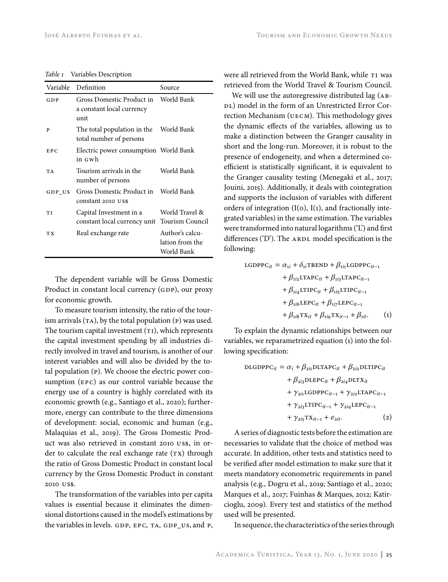*Table 1* Variables Description

|           | Variable Definition                                                       | Source                                           |
|-----------|---------------------------------------------------------------------------|--------------------------------------------------|
| GDP       | Gross Domestic Product in World Bank<br>a constant local currency<br>unit |                                                  |
| P         | The total population in the<br>total number of persons                    | World Bank                                       |
| EPC       | Electric power consumption World Bank<br>in Gwh                           |                                                  |
| <b>TA</b> | Tourism arrivals in the<br>number of persons                              | World Bank                                       |
| $GDP$ US  | Gross Domestic Product in<br>constant 2010 US\$                           | World Bank                                       |
| TI        | Capital Investment in a<br>constant local currency unit                   | World Travel &<br>Tourism Council                |
| TX        | Real exchange rate                                                        | Author's calcu-<br>lation from the<br>World Bank |

The dependent variable will be Gross Domestic Product in constant local currency (GDP), our proxy for economic growth.

To measure tourism intensity, the ratio of the tourism arrivals (TA), by the total population (P) was used. The tourism capital investment  $(TI)$ , which represents the capital investment spending by all industries directly involved in travel and tourism, is another of our interest variables and will also be divided by the total population (p). We choose the electric power consumption (epc) as our control variable because the energy use of a country is highly correlated with its economic growth (e.g., Santiago et al., 2020); furthermore, energy can contribute to the three dimensions of development: social, economic and human (e.g., Malaquias et al., 2019). The Gross Domestic Product was also retrieved in constant 2010 us\$, in order to calculate the real exchange rate  $(Tx)$  through the ratio of Gross Domestic Product in constant local currency by the Gross Domestic Product in constant 2010 us\$.

The transformation of the variables into per capita values is essential because it eliminates the dimensional distortions caused in the model's estimations by the variables in levels. GDP, EPC, TA, GDP\_US, and P, were all retrieved from the World Bank, while TI was retrieved from the World Travel & Tourism Council.

We will use the autoregressive distributed lag (AR-DL) model in the form of an Unrestricted Error Correction Mechanism (UECM). This methodology gives the dynamic effects of the variables, allowing us to make a distinction between the Granger causality in short and the long-run. Moreover, it is robust to the presence of endogeneity, and when a determined coefficient is statistically significant, it is equivalent to the Granger causality testing (Menegaki et al., 2017; Jouini, 2015). Additionally, it deals with cointegration and supports the inclusion of variables with different orders of integration  $(I(0), I(1))$ , and fractionally integrated variables) in the same estimation. The variables were transformed into natural logarithms ('L') and first differences ('D'). The  $ARDL$  model specification is the following:

$$
LGDPPC_{it} = \alpha_{1i} + \delta_{1i} \text{TREND} + \beta_{1i1} \text{LGDPPC}_{it-1} + \beta_{1i2} \text{LTAPC}_{it} + \beta_{1i3} \text{LTAPC}_{it-1} + \beta_{1i4} \text{LTIPC}_{it} + \beta_{1i5} \text{LTIPC}_{it-1} + \beta_{1i6} \text{LEPC}_{it} + \beta_{1i7} \text{LEPC}_{it-1} + \beta_{1i8} \text{TX}_{it} + \beta_{1i9} \text{TX}_{it-1} + \beta_{1it}. \tag{1}
$$

To explain the dynamic relationships between our variables, we reparametrized equation (1) into the following specification:

DIGDPPC<sub>it</sub> = 
$$
\alpha_i + \beta_{2i1}
$$
DLTAPC<sub>it</sub> +  $\beta_{2i2}$ DLTIPC<sub>it</sub>

\n
$$
+ \beta_{2i3}
$$
DLEPC<sub>it</sub> +  $\beta_{2i4}$ DLTX<sub>it</sub>\n
$$
+ \gamma_{2i1}
$$
GDPPC<sub>it-1</sub> +  $\gamma_{2i2}$ LTAPC<sub>it-1</sub>\n
$$
+ \gamma_{2i3}
$$
LTTPC<sub>it-1</sub> +  $\gamma_{2i4}$ LEPC<sub>it-1</sub>\n
$$
+ \gamma_{2i5}
$$
TX<sub>it-1</sub> +  $\varepsilon_{2it}$ . (2)

A series of diagnostic tests before the estimation are necessaries to validate that the choice of method was accurate. In addition, other tests and statistics need to be verified after model estimation to make sure that it meets mandatory econometric requirements in panel analysis (e.g., Dogru et al., 2019; Santiago et al., 2020; Marques et al., 2017; Fuinhas & Marques, 2012; Katircioglu, 2009). Every test and statistics of the method used will be presented.

In sequence, the characteristics of the series through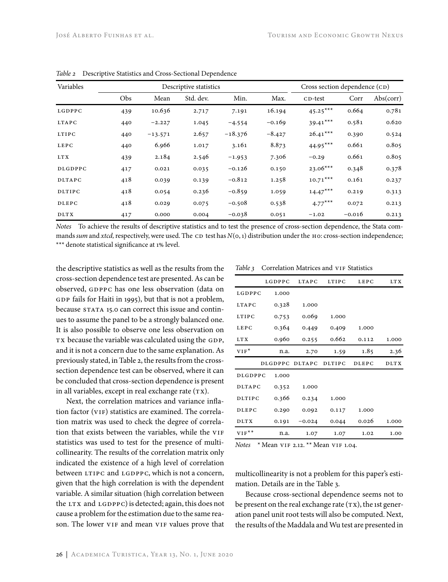| Variables | Descriptive statistics |           |           | Cross section dependence (CD) |          |            |          |           |
|-----------|------------------------|-----------|-----------|-------------------------------|----------|------------|----------|-----------|
|           | Obs                    | Mean      | Std. dev. | Min.                          | Max.     | CD-test    | Corr     | Abs(corr) |
| LGDPPC    | 439                    | 10.636    | 2.717     | 7.191                         | 16.194   | $45.25***$ | 0.664    | 0.781     |
| LTAPC     | 440                    | $-2.227$  | 1.045     | $-4.554$                      | $-0.169$ | $39.41***$ | 0.581    | 0.620     |
| LTIPC     | 440                    | $-13.571$ | 2.657     | $-18.376$                     | $-8.427$ | $26.41***$ | 0.390    | 0.524     |
| LEPC      | 440                    | 6.966     | 1.017     | 3.161                         | 8.873    | $44.95***$ | 0.661    | 0.805     |
| LT X      | 439                    | 2.184     | 2.546     | $-1.953$                      | 7.306    | $-0.29$    | 0.661    | 0.805     |
| DLGDPPC   | 417                    | 0.021     | 0.035     | $-0.126$                      | 0.150    | $23.06***$ | 0.348    | 0.378     |
| DLTAPC    | 418                    | 0.039     | 0.139     | $-0.812$                      | 1.258    | $10.71***$ | 0.161    | 0.237     |
| DLTIPC    | 418                    | 0.054     | 0.236     | $-0.859$                      | 1.059    | $14.47***$ | 0.219    | 0.313     |
| DLEPC     | 418                    | 0.029     | 0.075     | $-0.508$                      | 0.538    | $4.77***$  | 0.072    | 0.213     |
| DLTX      | 417                    | 0.000     | 0.004     | $-0.038$                      | 0.051    | $-1.02$    | $-0.016$ | 0.213     |

*Table 2* Descriptive Statistics and Cross-Sectional Dependence

*Notes* To achieve the results of descriptive statistics and to test the presence of cross-section dependence, the Stata commands sum and xtcd, respectively, were used. The CD test has  $N(o, 1)$  distribution under the H0: cross-section independence; \*\*\* denote statistical significance at 1% level.

the descriptive statistics as well as the results from the cross-section dependence test are presented. As can be observed, gdppc has one less observation (data on GDP fails for Haiti in 1995), but that is not a problem, because STATA 15.0 can correct this issue and continues to assume the panel to be a strongly balanced one. It is also possible to observe one less observation on TX because the variable was calculated using the GDP, and it is not a concern due to the same explanation. As previously stated, in Table 2, the results from the crosssection dependence test can be observed, where it can be concluded that cross-section dependence is present in all variables, except in real exchange rate  $(TX)$ .

Next, the correlation matrices and variance inflation factor (VIF) statistics are examined. The correlation matrix was used to check the degree of correlation that exists between the variables, while the VIF statistics was used to test for the presence of multicollinearity. The results of the correlation matrix only indicated the existence of a high level of correlation between LTIPC and LGDPPC, which is not a concern, given that the high correlation is with the dependent variable. A similar situation (high correlation between the  $LTX$  and  $LGDPPC$ ) is detected; again, this does not cause a problem for the estimation due to the same reason. The lower VIF and mean VIF values prove that

*Table 3* Correlation Matrices and VIF Statistics

|               | LGDPPC         | <b>LTAPC</b>  | LTIPC         | LEPC  | LTX         |
|---------------|----------------|---------------|---------------|-------|-------------|
| LGDPPC        | 1.000          |               |               |       |             |
| LTAPC         | 0.328          | 1.000         |               |       |             |
| LTIPC         | 0.753          | 0.069         | 1.000         |       |             |
| LEPC          | 0.364          | 0.449         | 0.409         | 1.000 |             |
| <b>LTX</b>    | 0.960          | 0.255         | 0.662         | 0.112 | 1.000       |
| $VIF^*$       | n.a.           | 2.70          | 1.59          | 1.85  | 2.36        |
|               |                |               |               |       |             |
|               | <b>DLGDPPC</b> | <b>DLTAPC</b> | <b>DLTIPC</b> | DLEPC | <b>DLTX</b> |
| DLGDPPC       | 1.000          |               |               |       |             |
| DLTAPC        | 0.352          | 1.000         |               |       |             |
| <b>DLTIPC</b> | 0.366          | 0.234         | 1.000         |       |             |
| DLEPC         | 0.290          | 0.092         | 0.117         | 1.000 |             |
| DLTX          | 0.191          | $-0.024$      | 0.044         | 0.026 | 1.000       |

*Notes* \* Mean vif 2.12. \*\* Mean vif 1.04.

multicollinearity is not a problem for this paper's estimation. Details are in the Table 3.

Because cross-sectional dependence seems not to be present on the real exchange rate  $(\text{rx})$ , the 1st generation panel unit root tests will also be computed. Next, the results of the Maddala and Wu test are presented in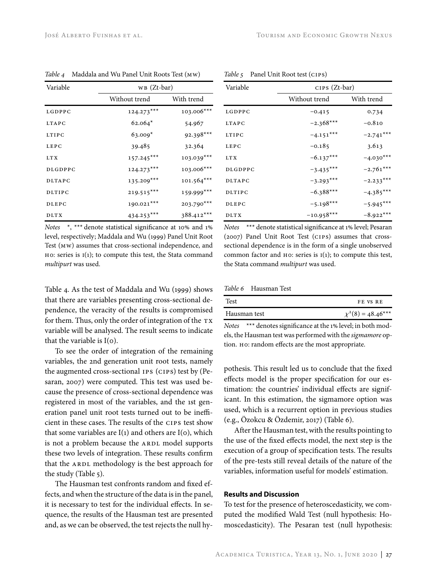| Variable | $WB (Zt-bar)$ |              |  |
|----------|---------------|--------------|--|
|          | Without trend | With trend   |  |
| LGDPPC   | $124.273***$  | 103.006***   |  |
| LTAPC    | $62.064*$     | 54.967       |  |
| LTIPC    | $63.009*$     | $92.398***$  |  |
| LEPC     | 39.485        | 32.364       |  |
| LT X     | $157.245***$  | $103.039***$ |  |
| DLGDPPC  | $124.273***$  | 103.006***   |  |
| DLTAPC   | 135.209***    | 101.564***   |  |
| DLTIPC   | $219.515***$  | 159.999***   |  |
| DLEPC    | 190.021***    | 203.790***   |  |
| DLTX     | 434.253***    | 388.412***   |  |

*Table 4* Maddala and Wu Panel Unit Roots Test (mw)

*Notes* \*, \*\*\* denote statistical significance at 10% and 1% level, respectively; Maddala and Wu (1999) Panel Unit Root Test (mw) assumes that cross-sectional independence, and HO: series is  $I(1)$ ; to compute this test, the Stata command *multipurt* was used.

Table 4. As the test of Maddala and Wu (1999) shows that there are variables presenting cross-sectional dependence, the veracity of the results is compromised for them. Thus, only the order of integration of the  $TX$ variable will be analysed. The result seems to indicate that the variable is I(0).

To see the order of integration of the remaining variables, the 2nd generation unit root tests, namely the augmented cross-sectional ips (cips) test by (Pesaran, 2007) were computed. This test was used because the presence of cross-sectional dependence was registered in most of the variables, and the 1st generation panel unit root tests turned out to be inefficient in these cases. The results of the cips test show that some variables are  $I(1)$  and others are  $I(0)$ , which is not a problem because the ARDL model supports these two levels of integration. These results confirm that the ARDL methodology is the best approach for the study (Table 5).

The Hausman test confronts random and fixed effects, and when the structure of the data is in the panel, it is necessary to test for the individual effects. In sequence, the results of the Hausman test are presented and, as we can be observed, the test rejects the null hy-

| Variable      | $CIPS (Zt-bar)$ |             |  |
|---------------|-----------------|-------------|--|
|               | Without trend   | With trend  |  |
| LGDPPC        | $-0.415$        | 0.734       |  |
| LTAPC         | $-2.368***$     | $-0.810$    |  |
| <b>LTIPC</b>  | $-4.151***$     | $-2.741***$ |  |
| <b>LEPC</b>   | $-0.185$        | 3.613       |  |
| LT X          | $-6.137***$     | $-4.030***$ |  |
| DLGDPPC       | $-3.435***$     | $-2.761***$ |  |
| <b>DLTAPC</b> | $-3.293***$     | $-2.233***$ |  |
| <b>DLTIPC</b> | $-6.388***$     | $-4.385***$ |  |
| DLEPC         | $-5.198***$     | $-5.945***$ |  |
| <b>DLTX</b>   | $-10.958***$    | $-8.922***$ |  |

*Table 5* Panel Unit Root test (cips)

*Notes* \*\*\* denote statistical significance at 1% level; Pesaran (2007) Panel Unit Root Test (CIPS) assumes that crosssectional dependence is in the form of a single unobserved common factor and  $H$ o: series is  $I(1)$ ; to compute this test, the Stata command *multipurt* was used.

*Table 6* Hausman Test

| Test         | FE VS RE               |
|--------------|------------------------|
| Hausman test | $\chi^2(8) = 48.46***$ |

*Notes* \*\*\* denotes significance at the 1% level; in both models, the Hausman test was performed with the *sigmamore* option. но: random effects are the most appropriate.

pothesis. This result led us to conclude that the fixed effects model is the proper specification for our estimation: the countries' individual effects are significant. In this estimation, the sigmamore option was used, which is a recurrent option in previous studies (e.g., Özokcu & Özdemir, 2017) (Table 6).

After the Hausman test, with the results pointing to the use of the fixed effects model, the next step is the execution of a group of specification tests. The results of the pre-tests still reveal details of the nature of the variables, information useful for models' estimation.

## **Results and Discussion**

To test for the presence of heteroscedasticity, we computed the modified Wald Test (null hypothesis: Homoscedasticity). The Pesaran test (null hypothesis: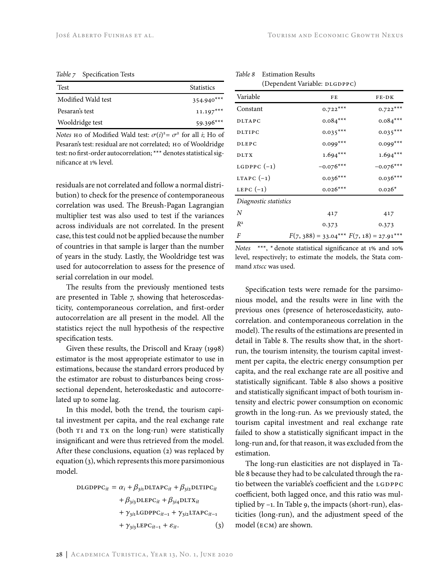*Table 7* Specification Tests

| <b>Test</b>        | <b>Statistics</b> |
|--------------------|-------------------|
| Modified Wald test | $354.940***$      |
| Pesaran's test     | $11.197***$       |
| Wooldridge test    | $59.396***$       |

*Notes* H0 of Modified Wald test:  $\sigma(i)^2 = \sigma^2$  for all *i*; H0 of Pesaran's test: residual are not correlated; но of Wooldridge test: no first-order autocorrelation; \*\*\* denotes statistical significance at 1% level.

residuals are not correlated and follow a normal distribution) to check for the presence of contemporaneous correlation was used. The Breush-Pagan Lagrangian multiplier test was also used to test if the variances across individuals are not correlated. In the present case, this test could not be applied because the number of countries in that sample is larger than the number of years in the study. Lastly, the Wooldridge test was used for autocorrelation to assess for the presence of serial correlation in our model.

The results from the previously mentioned tests are presented in Table 7, showing that heteroscedasticity, contemporaneous correlation, and first-order autocorrelation are all present in the model. All the statistics reject the null hypothesis of the respective specification tests.

Given these results, the Driscoll and Kraay (1998) estimator is the most appropriate estimator to use in estimations, because the standard errors produced by the estimator are robust to disturbances being crosssectional dependent, heteroskedastic and autocorrelated up to some lag.

In this model, both the trend, the tourism capital investment per capita, and the real exchange rate (both TI and TX on the long-run) were statistically insignificant and were thus retrieved from the model. After these conclusions, equation (2) was replaced by equation (3), which represents this more parsimonious model.

DLGDPPC<sub>it</sub> = 
$$
\alpha_i + \beta_{3i1}
$$
DLTAPC<sub>it</sub> +  $\beta_{3i2}$ DLTIPC<sub>it</sub>  
+  $\beta_{3i3}$ DLEPC<sub>it</sub> +  $\beta_{3i4}$ DLTX<sub>it</sub>  
+  $\gamma_{3i1}$ LGDPPC<sub>it-1</sub> +  $\gamma_{3i2}$ LTAPC<sub>it-1</sub>  
+  $\gamma_{3i3}$ LEPC<sub>it-1</sub> +  $\varepsilon_{it}$ . (3)

| Variable              | FE          | FE-DK       |
|-----------------------|-------------|-------------|
| Constant              | $0.722***$  | $0.722***$  |
| <b>DLTAPC</b>         | $0.084***$  | $0.084***$  |
| <b>DLTIPC</b>         | $0.035***$  | $0.035***$  |
| <b>DLEPC</b>          | $0.099***$  | $0.099***$  |
| DLTX                  | $1.694***$  | $1.694***$  |
| LGDPPC $(-1)$         | $-0.076***$ | $-0.076***$ |
| LTAPC $(-1)$          | $0.036***$  | $0.036***$  |
| LEPC $(-1)$           | $0.026***$  | $0.026*$    |
| Diagnostic statistics |             |             |
| N                     | 417         | 417         |
| $R^2$                 | 0.373       | 0.373       |

*Table 8* Estimation Results (Dependent Variable: DLGDPPC)

*Notes* \*\*\*, \* denote statistical significance at 1% and 10% level, respectively; to estimate the models, the Stata command *xtscc* was used.

*F*(7, 388) = 33.04\*\*\* *F*(7, 18) = 27.91\*\*\*

Specification tests were remade for the parsimonious model, and the results were in line with the previous ones (presence of heteroscedasticity, autocorrelation. and contemporaneous correlation in the model). The results of the estimations are presented in detail in Table 8. The results show that, in the shortrun, the tourism intensity, the tourism capital investment per capita, the electric energy consumption per capita, and the real exchange rate are all positive and statistically significant. Table 8 also shows a positive and statistically significant impact of both tourism intensity and electric power consumption on economic growth in the long-run. As we previously stated, the tourism capital investment and real exchange rate failed to show a statistically significant impact in the long-run and, for that reason, it was excluded from the estimation.

The long-run elasticities are not displayed in Table 8 because they had to be calculated through the ratio between the variable's coefficient and the LGDPPC coefficient, both lagged once, and this ratio was multiplied by –1. In Table 9, the impacts (short-run), elasticities (long-run), and the adjustment speed of the model (ecm) are shown.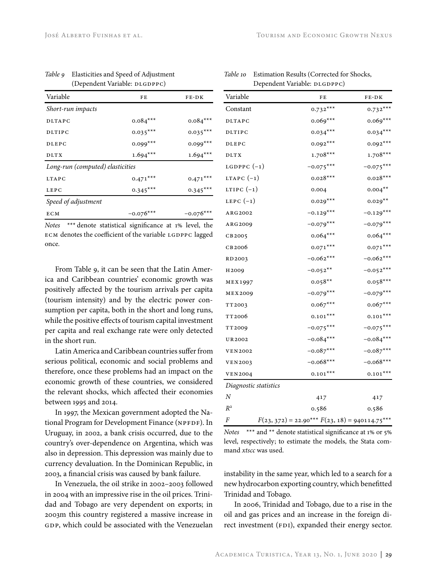| Variable                         | FE          | FE-DK       |
|----------------------------------|-------------|-------------|
| Short-run impacts                |             |             |
| DLTAPC                           | $0.084***$  | $0.084***$  |
| <b>DLTIPC</b>                    | $0.035***$  | $0.035***$  |
| <b>DLEPC</b>                     | $0.099***$  | $0.099***$  |
| <b>DLTX</b>                      | $1.694***$  | $1.694***$  |
| Long-run (computed) elasticities |             |             |
| <b>LTAPC</b>                     | $0.471***$  | $0.471***$  |
| LEPC                             | $0.345***$  | $0.345***$  |
| Speed of adjustment              |             |             |
| ECM                              | $-0.076***$ | $-0.076***$ |

*Table 9* Elasticities and Speed of Adjustment (Dependent Variable: DLGDPPC)

*Notes* \*\*\* denote statistical significance at 1% level, the ECM denotes the coefficient of the variable LGDPPC lagged once.

From Table 9, it can be seen that the Latin America and Caribbean countries' economic growth was positively affected by the tourism arrivals per capita (tourism intensity) and by the electric power consumption per capita, both in the short and long runs, while the positive effects of tourism capital investment per capita and real exchange rate were only detected in the short run.

Latin America and Caribbean countries suffer from serious political, economic and social problems and therefore, once these problems had an impact on the economic growth of these countries, we considered the relevant shocks, which affected their economies between 1995 and 2014.

In 1997, the Mexican government adopted the National Program for Development Finance (NPFDF). In Uruguay, in 2002, a bank crisis occurred, due to the country's over-dependence on Argentina, which was also in depression. This depression was mainly due to currency devaluation. In the Dominican Republic, in 2003, a financial crisis was caused by bank failure.

In Venezuela, the oil strike in 2002–2003 followed in 2004 with an impressive rise in the oil prices. Trinidad and Tobago are very dependent on exports; in 2003m this country registered a massive increase in GDP, which could be associated with the Venezuelan

| Variable              | FE                                               | FE-DK       |
|-----------------------|--------------------------------------------------|-------------|
| Constant              | $0.732***$                                       | $0.732***$  |
| DLTAPC                | $0.069***$                                       | $0.069***$  |
| DLTIPC                | $0.034***$                                       | $0.034***$  |
| DLEPC                 | $0.092***$                                       | $0.092***$  |
| <b>DLTX</b>           | $1.708***$                                       | $1.708***$  |
| LGDPPC $(-1)$         | $-0.075***$                                      | $-0.075***$ |
| LTAPC $(-1)$          | $0.028***$                                       | $0.028***$  |
| LTIPC $(-1)$          | 0.004                                            | $0.004***$  |
| LEPC $(-1)$           | $0.029***$                                       | $0.029**$   |
| ARG2002               | $-0.129***$                                      | $-0.129***$ |
| ARG2009               | $-0.079***$                                      | $-0.079***$ |
| CB2005                | $0.064***$                                       | $0.064***$  |
| CB2006                | $0.071***$                                       | $0.071***$  |
| RD 2003               | $-0.062***$                                      | $-0.062***$ |
| H <sub>2009</sub>     | $-0.052**$                                       | $-0.052***$ |
| MEX1997               | $0.058**$                                        | $0.058***$  |
| MEX2009               | $-0.079***$                                      | $-0.079***$ |
| TT2003                | $0.067***$                                       | $0.067***$  |
| TT <sub>200</sub> 6   | $0.101***$                                       | $0.101***$  |
| TT2009                | $-0.075***$                                      | $-0.075***$ |
| UR2002                | $-0.084***$                                      | $-0.084***$ |
| <b>VEN2002</b>        | $-0.087***$                                      | $-0.087***$ |
| VEN2003               | $-0.068***$                                      | $-0.068***$ |
| <b>VEN2004</b>        | $0.101***$                                       | $0.101***$  |
| Diagnostic statistics |                                                  |             |
| Ν                     | 417                                              | 417         |
| $R^2$                 | 0.586                                            | 0.586       |
| F                     | $F(23, 372) = 22.90*** F(23, 18) = 940114.75***$ |             |

*Table 10* Estimation Results (Corrected for Shocks, Dependent Variable: DLGDPPC)

*Notes* \*\*\* and \*\* denote statistical significance at 1% or 5% level, respectively; to estimate the models, the Stata command *xtscc* was used.

instability in the same year, which led to a search for a new hydrocarbon exporting country, which benefitted Trinidad and Tobago.

In 2006, Trinidad and Tobago, due to a rise in the oil and gas prices and an increase in the foreign direct investment (FDI), expanded their energy sector.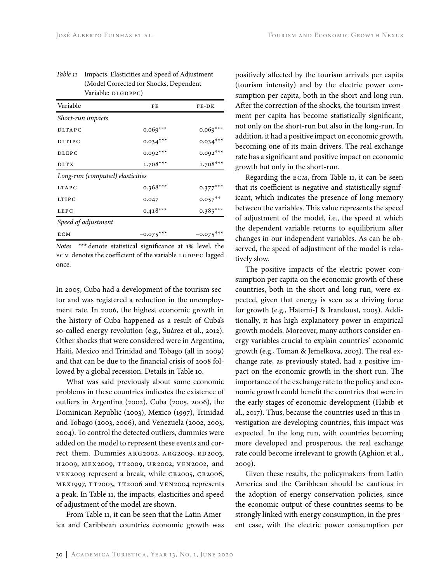| Variable                         | FE          | FE-DK       |  |  |
|----------------------------------|-------------|-------------|--|--|
| Short-run impacts                |             |             |  |  |
| <b>DLTAPC</b>                    | $0.069***$  | $0.069***$  |  |  |
| <b>DLTIPC</b>                    | $0.034***$  | $0.034***$  |  |  |
| DLEPC                            | $0.092***$  | $0.092***$  |  |  |
| DLT X                            | $1.708***$  | $1.708***$  |  |  |
| Long-run (computed) elasticities |             |             |  |  |
| LTAPC                            | $0.368***$  | $0.377***$  |  |  |
| LTIPC                            | 0.047       | $0.057***$  |  |  |
| LEPC                             | $0.418***$  | $0.385***$  |  |  |
| Speed of adjustment              |             |             |  |  |
| ECM                              | $-0.075***$ | $-0.075***$ |  |  |

## *Table 11* Impacts, Elasticities and Speed of Adjustment (Model Corrected for Shocks, Dependent Variable: DLGDPPC)

*Notes* \*\*\* denote statistical significance at 1% level, the ECM denotes the coefficient of the variable LGDPPC lagged once.

In 2005, Cuba had a development of the tourism sector and was registered a reduction in the unemployment rate. In 2006, the highest economic growth in the history of Cuba happened as a result of Cuba's so-called energy revolution (e.g., Suárez et al., 2012). Other shocks that were considered were in Argentina, Haiti, Mexico and Trinidad and Tobago (all in 2009) and that can be due to the financial crisis of 2008 followed by a global recession. Details in Table 10.

What was said previously about some economic problems in these countries indicates the existence of outliers in Argentina (2002), Cuba (2005, 2006), the Dominican Republic (2003), Mexico (1997), Trinidad and Tobago (2003, 2006), and Venezuela (2002, 2003, 2004). To control the detected outliers, dummies were added on the model to represent these events and correct them. Dummies ARG2002, ARG2009, RD2003, H2009, MEX2009, TT2009, UR2002, VEN2002, and VEN2003 represent a break, while CB2005, CB2006, mex1997, tt2003, tt2006 and ven2004 represents a peak. In Table 11, the impacts, elasticities and speed of adjustment of the model are shown.

From Table 11, it can be seen that the Latin America and Caribbean countries economic growth was positively affected by the tourism arrivals per capita (tourism intensity) and by the electric power consumption per capita, both in the short and long run. After the correction of the shocks, the tourism investment per capita has become statistically significant, not only on the short-run but also in the long-run. In addition, it had a positive impact on economic growth, becoming one of its main drivers. The real exchange rate has a significant and positive impact on economic growth but only in the short-run.

Regarding the ecm, from Table 11, it can be seen that its coefficient is negative and statistically significant, which indicates the presence of long-memory between the variables. This value represents the speed of adjustment of the model, i.e., the speed at which the dependent variable returns to equilibrium after changes in our independent variables. As can be observed, the speed of adjustment of the model is relatively slow.

The positive impacts of the electric power consumption per capita on the economic growth of these countries, both in the short and long-run, were expected, given that energy is seen as a driving force for growth (e.g., Hatemi-J & Irandoust, 2005). Additionally, it has high explanatory power in empirical growth models. Moreover, many authors consider energy variables crucial to explain countries' economic growth (e.g., Toman & Jemelkova, 2003). The real exchange rate, as previously stated, had a positive impact on the economic growth in the short run. The importance of the exchange rate to the policy and economic growth could benefit the countries that were in the early stages of economic development (Habib et al., 2017). Thus, because the countries used in this investigation are developing countries, this impact was expected. In the long run, with countries becoming more developed and prosperous, the real exchange rate could become irrelevant to growth (Aghion et al., 2009).

Given these results, the policymakers from Latin America and the Caribbean should be cautious in the adoption of energy conservation policies, since the economic output of these countries seems to be strongly linked with energy consumption, in the present case, with the electric power consumption per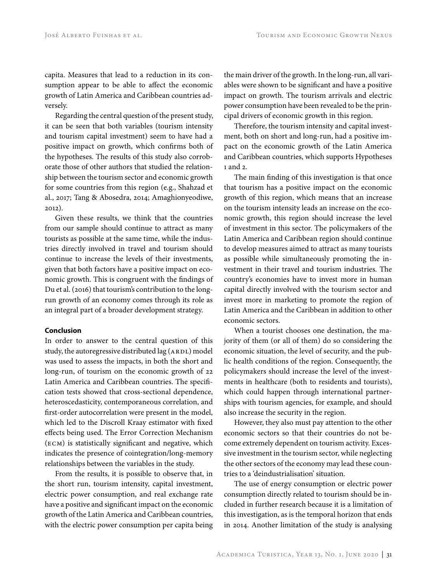capita. Measures that lead to a reduction in its consumption appear to be able to affect the economic growth of Latin America and Caribbean countries adversely.

Regarding the central question of the present study, it can be seen that both variables (tourism intensity and tourism capital investment) seem to have had a positive impact on growth, which confirms both of the hypotheses. The results of this study also corroborate those of other authors that studied the relationship between the tourism sector and economic growth for some countries from this region (e.g., Shahzad et al., 2017; Tang & Abosedra, 2014; Amaghionyeodiwe, 2012).

Given these results, we think that the countries from our sample should continue to attract as many tourists as possible at the same time, while the industries directly involved in travel and tourism should continue to increase the levels of their investments, given that both factors have a positive impact on economic growth. This is congruent with the findings of Du et al. (2016) that tourism's contribution to the longrun growth of an economy comes through its role as an integral part of a broader development strategy.

## **Conclusion**

In order to answer to the central question of this study, the autoregressive distributed lag (ARDL) model was used to assess the impacts, in both the short and long-run, of tourism on the economic growth of 22 Latin America and Caribbean countries. The specification tests showed that cross-sectional dependence, heteroscedasticity, contemporaneous correlation, and first-order autocorrelation were present in the model, which led to the Discroll Kraay estimator with fixed effects being used. The Error Correction Mechanism (ecm) is statistically significant and negative, which indicates the presence of cointegration/long-memory relationships between the variables in the study.

From the results, it is possible to observe that, in the short run, tourism intensity, capital investment, electric power consumption, and real exchange rate have a positive and significant impact on the economic growth of the Latin America and Caribbean countries, with the electric power consumption per capita being the main driver of the growth. In the long-run, all variables were shown to be significant and have a positive impact on growth. The tourism arrivals and electric power consumption have been revealed to be the principal drivers of economic growth in this region.

Therefore, the tourism intensity and capital investment, both on short and long-run, had a positive impact on the economic growth of the Latin America and Caribbean countries, which supports Hypotheses 1 and 2.

The main finding of this investigation is that once that tourism has a positive impact on the economic growth of this region, which means that an increase on the tourism intensity leads an increase on the economic growth, this region should increase the level of investment in this sector. The policymakers of the Latin America and Caribbean region should continue to develop measures aimed to attract as many tourists as possible while simultaneously promoting the investment in their travel and tourism industries. The country's economies have to invest more in human capital directly involved with the tourism sector and invest more in marketing to promote the region of Latin America and the Caribbean in addition to other economic sectors.

When a tourist chooses one destination, the majority of them (or all of them) do so considering the economic situation, the level of security, and the public health conditions of the region. Consequently, the policymakers should increase the level of the investments in healthcare (both to residents and tourists), which could happen through international partnerships with tourism agencies, for example, and should also increase the security in the region.

However, they also must pay attention to the other economic sectors so that their countries do not become extremely dependent on tourism activity. Excessive investment in the tourism sector, while neglecting the other sectors of the economy may lead these countries to a 'deindustrialisation' situation.

The use of energy consumption or electric power consumption directly related to tourism should be included in further research because it is a limitation of this investigation, as is the temporal horizon that ends in 2014. Another limitation of the study is analysing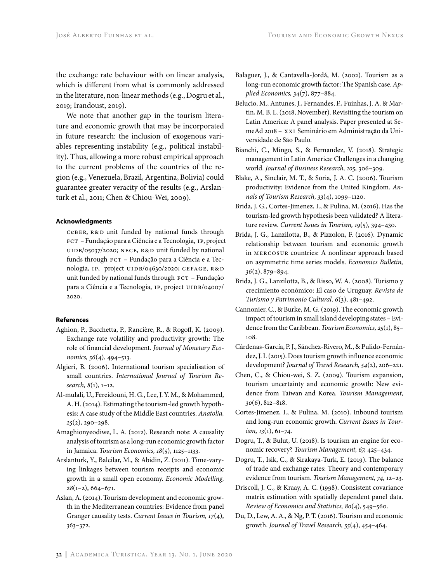the exchange rate behaviour with on linear analysis, which is different from what is commonly addressed in the literature, non-linear methods (e.g., Dogru et al., 2019; Irandoust, 2019).

We note that another gap in the tourism literature and economic growth that may be incorporated in future research: the inclusion of exogenous variables representing instability (e.g., political instability). Thus, allowing a more robust empirical approach to the current problems of the countries of the region (e.g., Venezuela, Brazil, Argentina, Bolivia) could guarantee greater veracity of the results (e.g., Arslanturk et al., 2011; Chen & Chiou-Wei, 2009).

## **Acknowledgments**

CEBER, R&D unit funded by national funds through fct – Fundação para a Ciência e a Tecnologia, ip, project UIDB/05037/2020; NECE, R&D unit funded by national funds through  $FCT - Fundação para a Ciência e a Tec$ nologia, IP, project UIDB/04630/2020; CEFAGE, R&D unit funded by national funds through FCT – Fundação para a Ciência e a Tecnologia, IP, project UIDB/04007/ 2020.

#### **References**

- Aghion, P., Bacchetta, P., Rancière, R., & Rogoff, K. (2009). Exchange rate volatility and productivity growth: The role of financial development. *Journal of Monetary Economics, 56*(4), 494–513.
- Algieri, B. (2006). International tourism specialisation of small countries. *International Journal of Tourism Research, 8*(1), 1–12.
- Al-mulali, U., Fereidouni, H. G., Lee, J. Y. M., & Mohammed, A. H. (2014). Estimating the tourism-led growth hypothesis: A case study of the Middle East countries. *Anatolia, 25*(2), 290–298.
- Amaghionyeodiwe, L. A. (2012). Research note: A causality analysis of tourism as a long-run economic growth factor in Jamaica. *Tourism Economics, 18*(5), 1125–1133.
- Arslanturk, Y., Balcilar, M., & Abidin, Z. (2011). Time-varying linkages between tourism receipts and economic growth in a small open economy. *Economic Modelling, 28*(1–2), 664–671.
- Aslan, A. (2014). Tourism development and economic growth in the Mediterranean countries: Evidence from panel Granger causality tests. *Current Issues in Tourism, 17*(4), 363–372.
- Balaguer, J., & Cantavella-Jordá, M. (2002). Tourism as a long-run economic growth factor: The Spanish case. *Applied Economics, 34*(7), 877–884.
- Belucio, M., Antunes, J., Fernandes, F., Fuinhas, J. A. & Martin, M. B. L. (2018, November). Revisiting the tourism on Latin America: A panel analysis. Paper presented at SemeAd 2018 – xxi Seminário em Administração da Universidade de São Paulo.
- Bianchi, C., Mingo, S., & Fernandez, V. (2018). Strategic management in Latin America: Challenges in a changing world. *Journal of Business Research, 105,* 306–309.
- Blake, A., Sinclair, M. T., & Soria, J. A. C. (2006). Tourism productivity: Evidence from the United Kingdom. *Annals of Tourism Research, 33*(4), 1099–1120.
- Brida, J. G., Cortes-Jimenez, I., & Pulina, M. (2016). Has the tourism-led growth hypothesis been validated? A literature review. *Current Issues in Tourism, 19*(5), 394–430.
- Brida, J. G., Lanzilotta, B., & Pizzolon, F. (2016). Dynamic relationship between tourism and economic growth in mercosur countries: A nonlinear approach based on asymmetric time series models. *Economics Bulletin, 36*(2), 879–894.
- Brida, J. G., Lanzilotta, B., & Risso, W. A. (2008). Turismo y crecimiento económico: El caso de Uruguay. *Revista de Turismo y Patrimonio Cultural, 6*(3), 481–492.
- Cannonier, C., & Burke, M. G. (2019). The economic growth impact of tourism in small island developing states – Evidence from the Caribbean. *Tourism Economics, 25*(1), 85– 108.
- Cárdenas-García, P. J., Sánchez-Rivero, M., & Pulido-Fernández, J. I. (2015). Does tourism growth influence economic development? *Journal of Travel Research, 54*(2), 206–221.
- Chen, C., & Chiou-wei, S. Z. (2009). Tourism expansion, tourism uncertainty and economic growth: New evidence from Taiwan and Korea. *Tourism Management, 30*(6), 812–818.
- Cortes-Jimenez, I., & Pulina, M. (2010). Inbound tourism and long-run economic growth. *Current Issues in Tourism, 13*(1), 61–74.
- Dogru, T., & Bulut, U. (2018). Is tourism an engine for economic recovery? *Tourism Management, 67,* 425–434.
- Dogru, T., Isik, C., & Sirakaya-Turk, E. (2019). The balance of trade and exchange rates: Theory and contemporary evidence from tourism. *Tourism Management, 74,* 12–23.
- Driscoll, J. C., & Kraay, A. C. (1998). Consistent covariance matrix estimation with spatially dependent panel data. *Review of Economics and Statistics, 80*(4), 549–560.
- Du, D., Lew, A. A., & Ng, P. T. (2016). Tourism and economic growth. *Journal of Travel Research, 55*(4), 454–464.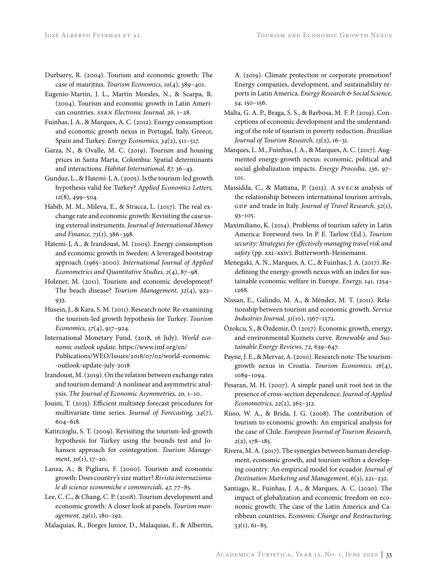- Durbarry, R. (2004). Tourism and economic growth: The case of mauritius. *Tourism Economics, 10*(4), 389–401.
- Eugenio-Martin, J. L., Martín Morales, N., & Scarpa, R. (2004). Tourism and economic growth in Latin American countries. *ssrn Electronic Journal, 26,* 1–28.
- Fuinhas, J. A., & Marques, A. C. (2012). Energy consumption and economic growth nexus in Portugal, Italy, Greece, Spain and Turkey. *Energy Economics, 34*(2), 511–517.
- Garza, N., & Ovalle, M. C. (2019). Tourism and housing prices in Santa Marta, Colombia: Spatial determinants and interactions. *Habitat International, 87,* 36–43.
- Gunduz, L., & Hatemi-J, A. (2005). Is the tourism-led growth hypothesis valid for Turkey? *Applied Economics Letters, 12*(8), 499–504.
- Habib, M. M., Mileva, E., & Stracca, L. (2017). The real exchange rate and economic growth: Revisiting the case using external instruments. *Journal of International Money and Finance, 73*(1), 386–398.
- Hatemi-J, A., & Irandoust, M. (2005). Energy consumption and economic growth in Sweden: A leveraged bootstrap approach (1965–2000). *International Journal of Applied Econometrics and Quantitative Studies, 2*(4), 87–98.
- Holzner, M. (2011). Tourism and economic development? The beach disease? *Tourism Management, 32*(4), 922– 933.
- Husein, J., & Kara, S. M. (2011). Research note: Re-examining the tourism-led growth hypothesis for Turkey. *Tourism Economics, 17*(4), 917–924.
- International Monetary Fund. (2018, 16 July). *World economic outlook update.* https://www.imf.org/en/ Publications/WEO/Issues/2018/07/02/world-economic -outlook-update-july-2018
- Irandoust, M. (2019). On the relation between exchange rates and tourism demand: A nonlinear and asymmetric analysis. *The Journal of Economic Asymmetries, 20,* 1–10.
- Jouini, T. (2015). Efficient multistep forecast procedures for multivariate time series. *Journal of Forecasting, 34*(7), 604–618.
- Katircioglu, S. T. (2009). Revisiting the tourism-led-growth hypothesis for Turkey using the bounds test and Johansen approach for cointegration. *Tourism Management, 30*(1), 17–20.
- Lanza, A., & Pigliaru, F. (2000). Tourism and economic growth: Does country's size matter? *Rivista internazionale di scienze economiche e commerciali, 47,* 77–85.
- Lee, C. C., & Chang, C. P. (2008). Tourism development and economic growth: A closer look at panels. *Tourism management, 29*(1), 180–192.
- Malaquias, R., Borges Junior, D., Malaquias, F., & Albertin,

A. (2019). Climate protection or corporate promotion? Energy companies, development, and sustainability reports in Latin America. *Energy Research & Social Science, 54,* 150–156.

- Malta, G. A. P., Braga, S. S., & Barbosa, M. F. P. (2019). Conceptions of economic development and the understanding of the role of tourism in poverty reduction. *Brazilian Journal of Tourism Research, 13*(2), 16–31.
- Marques, L. M., Fuinhas, J. A., & Marques, A. C. (2017). Augmented energy-growth nexus: economic, political and social globalization impacts. *Energy Procedia, 136,* 97– 101.
- Massidda, C., & Mattana, P. (2013). A svecm analysis of the relationship between international tourism arrivals, GDP and trade in Italy. *Journal of Travel Research*, 52(1), 93–105.
- Maximiliano, K. (2014). Problems of tourism safety in Latin America: Foreword two. In P. E. Tarlow (Ed.), *Tourism security: Strategies for effectively managing travel risk and safety* (pp. xxi–xxiv). Butterworth-Heinemann.
- Menegaki, A. N., Marques, A. C., & Fuinhas, J. A. (2017). Redefining the energy-growth nexus with an index for sustainable economic welfare in Europe. *Energy, 141,* 1254– 1268.
- Nissan, E., Galindo, M. A., & Méndez, M. T. (2011). Relationship between tourism and economic growth. *Service Industries Journal, 31*(10), 1567–1572.
- Özokcu, S., & Özdemir, Ö. (2017). Economic growth, energy, and environmental Kuznets curve. *Renewable and Sustainable Energy Reviews, 72,* 639–647.
- Payne, J. E., & Mervar, A. (2010). Research note: The tourismgrowth nexus in Croatia. *Tourism Economics, 16*(4), 1089–1094.
- Pesaran, M. H. (2007). A simple panel unit root test in the presence of cross-section dependence. *Journal of Applied Econometrics, 22*(2), 265–312.
- Risso, W. A., & Brida, J. G. (2008). The contribution of tourism to economic growth: An empirical analysis for the case of Chile. *European Journal of Tourism Research, 2*(2), 178–185.
- Rivera, M. A. (2017). The synergies between human development, economic growth, and tourism within a developing country: An empirical model for ecuador. *Journal of Destination Marketing and Management, 6*(3), 221–232.
- Santiago, R., Fuinhas, J. A., & Marques, A. C. (2020). The impact of globalization and economic freedom on economic growth: The case of the Latin America and Caribbean countries. *Economic Change and Restructuring, 53*(1), 61–85.